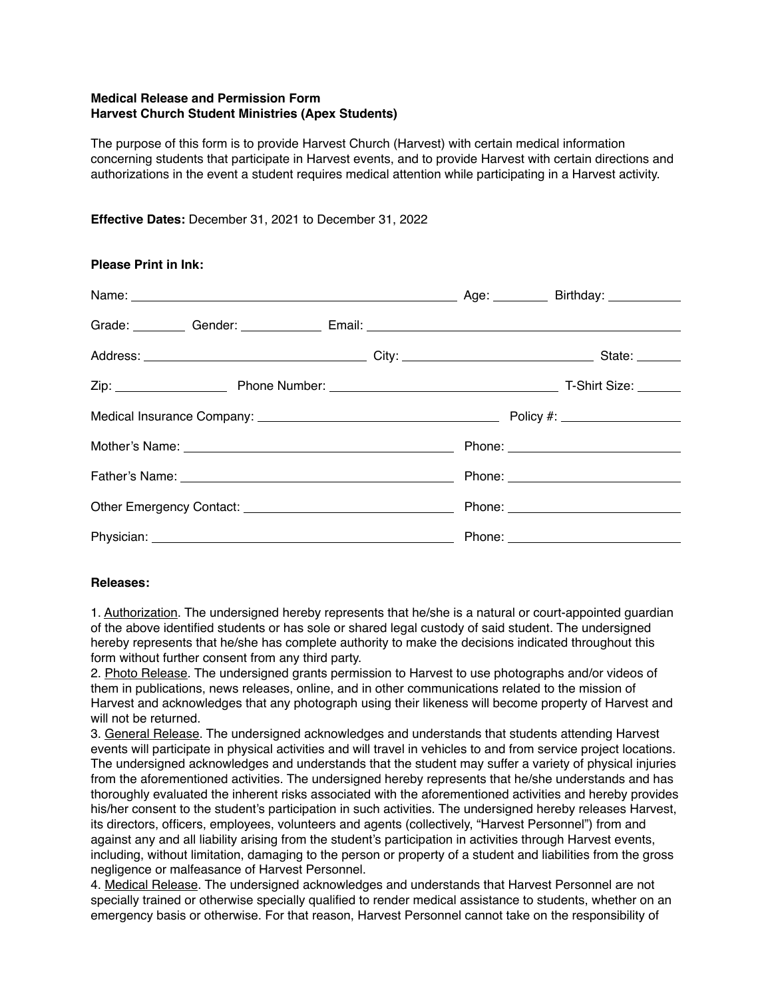## **Medical Release and Permission Form Harvest Church Student Ministries (Apex Students)**

The purpose of this form is to provide Harvest Church (Harvest) with certain medical information concerning students that participate in Harvest events, and to provide Harvest with certain directions and authorizations in the event a student requires medical attention while participating in a Harvest activity.

## **Effective Dates:** December 31, 2021 to December 31, 2022

| <b>Please Print in Ink:</b>                                                                                      |  |
|------------------------------------------------------------------------------------------------------------------|--|
|                                                                                                                  |  |
| Grade: Gender: Communication Communication Communication Communication Communication Communication Communication |  |
|                                                                                                                  |  |
|                                                                                                                  |  |
|                                                                                                                  |  |
|                                                                                                                  |  |
|                                                                                                                  |  |
|                                                                                                                  |  |
|                                                                                                                  |  |

### **Releases:**

1. Authorization. The undersigned hereby represents that he/she is a natural or court-appointed guardian of the above identified students or has sole or shared legal custody of said student. The undersigned hereby represents that he/she has complete authority to make the decisions indicated throughout this form without further consent from any third party.

2. Photo Release. The undersigned grants permission to Harvest to use photographs and/or videos of them in publications, news releases, online, and in other communications related to the mission of Harvest and acknowledges that any photograph using their likeness will become property of Harvest and will not be returned.

3. General Release. The undersigned acknowledges and understands that students attending Harvest events will participate in physical activities and will travel in vehicles to and from service project locations. The undersigned acknowledges and understands that the student may suffer a variety of physical injuries from the aforementioned activities. The undersigned hereby represents that he/she understands and has thoroughly evaluated the inherent risks associated with the aforementioned activities and hereby provides his/her consent to the student's participation in such activities. The undersigned hereby releases Harvest, its directors, officers, employees, volunteers and agents (collectively, "Harvest Personnel") from and against any and all liability arising from the student's participation in activities through Harvest events, including, without limitation, damaging to the person or property of a student and liabilities from the gross negligence or malfeasance of Harvest Personnel.

4. Medical Release. The undersigned acknowledges and understands that Harvest Personnel are not specially trained or otherwise specially qualified to render medical assistance to students, whether on an emergency basis or otherwise. For that reason, Harvest Personnel cannot take on the responsibility of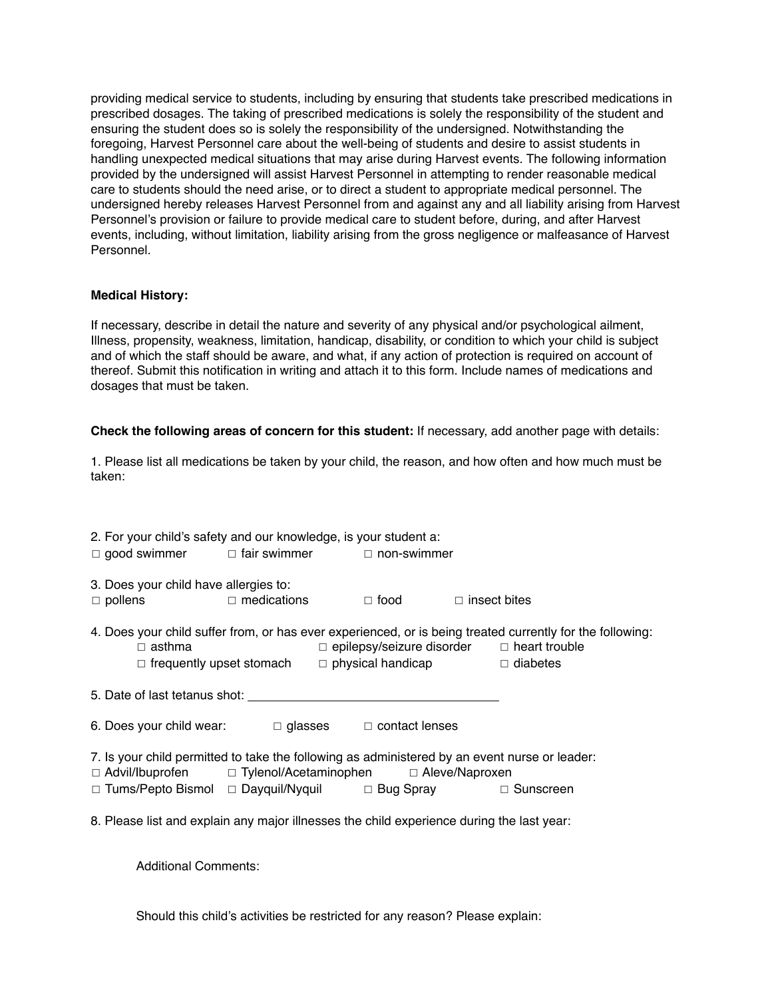providing medical service to students, including by ensuring that students take prescribed medications in prescribed dosages. The taking of prescribed medications is solely the responsibility of the student and ensuring the student does so is solely the responsibility of the undersigned. Notwithstanding the foregoing, Harvest Personnel care about the well-being of students and desire to assist students in handling unexpected medical situations that may arise during Harvest events. The following information provided by the undersigned will assist Harvest Personnel in attempting to render reasonable medical care to students should the need arise, or to direct a student to appropriate medical personnel. The undersigned hereby releases Harvest Personnel from and against any and all liability arising from Harvest Personnel's provision or failure to provide medical care to student before, during, and after Harvest events, including, without limitation, liability arising from the gross negligence or malfeasance of Harvest Personnel.

### **Medical History:**

If necessary, describe in detail the nature and severity of any physical and/or psychological ailment, Illness, propensity, weakness, limitation, handicap, disability, or condition to which your child is subject and of which the staff should be aware, and what, if any action of protection is required on account of thereof. Submit this notification in writing and attach it to this form. Include names of medications and dosages that must be taken.

## **Check the following areas of concern for this student:** If necessary, add another page with details:

1. Please list all medications be taken by your child, the reason, and how often and how much must be taken:

|                                                                                                                                                             | 2. For your child's safety and our knowledge, is your student a:         |                                                       |  |                                                                                                           |  |
|-------------------------------------------------------------------------------------------------------------------------------------------------------------|--------------------------------------------------------------------------|-------------------------------------------------------|--|-----------------------------------------------------------------------------------------------------------|--|
|                                                                                                                                                             | $\Box$ good swimmer $\Box$ fair swimmer $\Box$ non-swimmer               |                                                       |  |                                                                                                           |  |
| 3. Does your child have allergies to:                                                                                                                       | $\Box$ pollens $\Box$ medications                                        | $\Box$ food $\Box$ insect bites                       |  |                                                                                                           |  |
| $\Box$ asthma                                                                                                                                               | $\Box$ frequently upset stomach $\Box$ physical handicap $\Box$ diabetes | $\Box$ epilepsy/seizure disorder $\Box$ heart trouble |  | 4. Does your child suffer from, or has ever experienced, or is being treated currently for the following: |  |
|                                                                                                                                                             |                                                                          |                                                       |  |                                                                                                           |  |
| 6. Does your child wear: $\Box$ glasses $\Box$ contact lenses                                                                                               |                                                                          |                                                       |  |                                                                                                           |  |
| 7. Is your child permitted to take the following as administered by an event nurse or leader:<br>□ Advil/Ibuprofen □ Tylenol/Acetaminophen □ Aleve/Naproxen |                                                                          |                                                       |  |                                                                                                           |  |
|                                                                                                                                                             | □ Tums/Pepto Bismol □ Dayquil/Nyquil    □ Bug Spray       □ Sunscreen    |                                                       |  |                                                                                                           |  |
| 8. Please list and explain any major illnesses the child experience during the last year:                                                                   |                                                                          |                                                       |  |                                                                                                           |  |
| <b>Additional Comments:</b>                                                                                                                                 |                                                                          |                                                       |  |                                                                                                           |  |

Should this child's activities be restricted for any reason? Please explain: